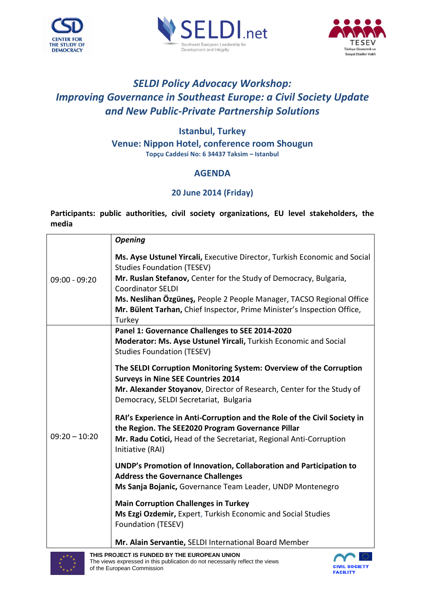





## *SELDI Policy Advocacy Workshop: Improving Governance in Southeast Europe: a Civil Society Update and New Public-Private Partnership Solutions*

## **Istanbul, Turkey Venue: Nippon Hotel, conference room Shougun Topçu Caddesi No: 6 34437 Taksim – Istanbul**

## **AGENDA**

## **20 June 2014 (Friday)**

**Participants: public authorities, civil society organizations, EU level stakeholders, the media**

|                 | <b>Opening</b>                                                                                                                                                                                                          |
|-----------------|-------------------------------------------------------------------------------------------------------------------------------------------------------------------------------------------------------------------------|
| $09:00 - 09:20$ | Ms. Ayse Ustunel Yircali, Executive Director, Turkish Economic and Social<br><b>Studies Foundation (TESEV)</b>                                                                                                          |
|                 | Mr. Ruslan Stefanov, Center for the Study of Democracy, Bulgaria,                                                                                                                                                       |
|                 | <b>Coordinator SELDI</b>                                                                                                                                                                                                |
|                 | Ms. Neslihan Özgüneş, People 2 People Manager, TACSO Regional Office                                                                                                                                                    |
|                 | Mr. Bülent Tarhan, Chief Inspector, Prime Minister's Inspection Office,<br>Turkey                                                                                                                                       |
|                 | Panel 1: Governance Challenges to SEE 2014-2020                                                                                                                                                                         |
|                 | Moderator: Ms. Ayse Ustunel Yircali, Turkish Economic and Social                                                                                                                                                        |
|                 | <b>Studies Foundation (TESEV)</b>                                                                                                                                                                                       |
|                 | The SELDI Corruption Monitoring System: Overview of the Corruption<br><b>Surveys in Nine SEE Countries 2014</b>                                                                                                         |
|                 | Mr. Alexander Stoyanov, Director of Research, Center for the Study of                                                                                                                                                   |
|                 | Democracy, SELDI Secretariat, Bulgaria                                                                                                                                                                                  |
| $09:20 - 10:20$ | RAI's Experience in Anti-Corruption and the Role of the Civil Society in<br>the Region. The SEE2020 Program Governance Pillar<br>Mr. Radu Cotici, Head of the Secretariat, Regional Anti-Corruption<br>Initiative (RAI) |
|                 | UNDP's Promotion of Innovation, Collaboration and Participation to                                                                                                                                                      |
|                 | <b>Address the Governance Challenges</b>                                                                                                                                                                                |
|                 | Ms Sanja Bojanic, Governance Team Leader, UNDP Montenegro                                                                                                                                                               |
|                 | <b>Main Corruption Challenges in Turkey</b><br>Ms Ezgi Ozdemir, Expert, Turkish Economic and Social Studies<br>Foundation (TESEV)                                                                                       |
|                 | Mr. Alain Servantie, SELDI International Board Member                                                                                                                                                                   |



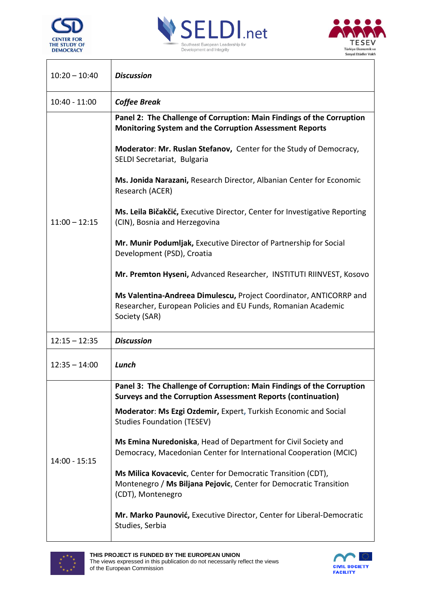

 $\overline{\phantom{a}}$ 

 $\overline{\phantom{a}}$ 





I

| $10:20 - 10:40$ | <b>Discussion</b>                                                                                                                                      |
|-----------------|--------------------------------------------------------------------------------------------------------------------------------------------------------|
| $10:40 - 11:00$ | <b>Coffee Break</b>                                                                                                                                    |
| $11:00 - 12:15$ | Panel 2: The Challenge of Corruption: Main Findings of the Corruption<br><b>Monitoring System and the Corruption Assessment Reports</b>                |
|                 | Moderator: Mr. Ruslan Stefanov, Center for the Study of Democracy,<br>SELDI Secretariat, Bulgaria                                                      |
|                 | Ms. Jonida Narazani, Research Director, Albanian Center for Economic<br>Research (ACER)                                                                |
|                 | Ms. Leila Bičakčić, Executive Director, Center for Investigative Reporting<br>(CIN), Bosnia and Herzegovina                                            |
|                 | Mr. Munir Podumljak, Executive Director of Partnership for Social<br>Development (PSD), Croatia                                                        |
|                 | Mr. Premton Hyseni, Advanced Researcher, INSTITUTI RIINVEST, Kosovo                                                                                    |
|                 | Ms Valentina-Andreea Dimulescu, Project Coordinator, ANTICORRP and<br>Researcher, European Policies and EU Funds, Romanian Academic<br>Society (SAR)   |
| $12:15 - 12:35$ | <b>Discussion</b>                                                                                                                                      |
| $12:35 - 14:00$ | Lunch                                                                                                                                                  |
| $14:00 - 15:15$ | Panel 3: The Challenge of Corruption: Main Findings of the Corruption<br>Surveys and the Corruption Assessment Reports (continuation)                  |
|                 | Moderator: Ms Ezgi Ozdemir, Expert, Turkish Economic and Social<br><b>Studies Foundation (TESEV)</b>                                                   |
|                 | Ms Emina Nuredoniska, Head of Department for Civil Society and<br>Democracy, Macedonian Center for International Cooperation (MCIC)                    |
|                 | Ms Milica Kovacevic, Center for Democratic Transition (CDT),<br>Montenegro / Ms Biljana Pejovic, Center for Democratic Transition<br>(CDT), Montenegro |
|                 | Mr. Marko Paunović, Executive Director, Center for Liberal-Democratic<br>Studies, Serbia                                                               |